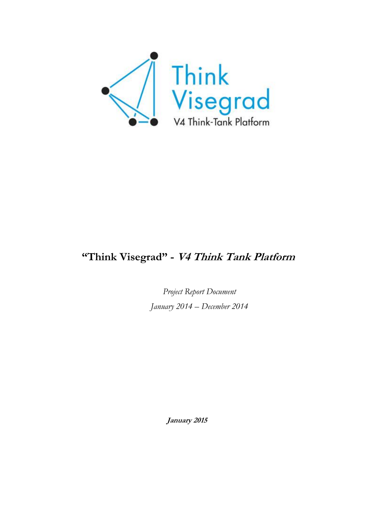

# **"Think Visegrad" - V4 Think Tank Platform**

*Project Report Document January 2014 – December 2014*

**January 2015**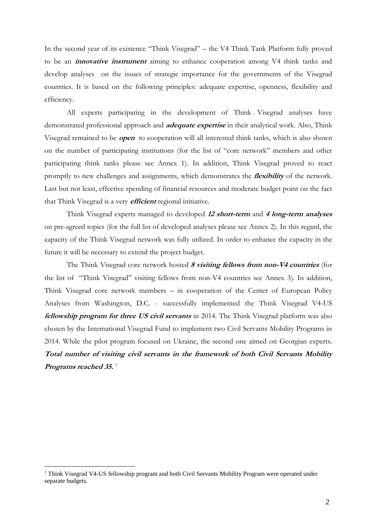In the second year of its existence "Think Visegrad" – the V4 Think Tank Platform fully proved to be an **innovative instrument** aiming to enhance cooperation among V4 think tanks and develop analyses on the issues of strategic importance for the governments of the Visegrad countries. It is based on the following principles: adequate expertise, openness, flexibility and efficiency.

All experts participating in the development of Think Visegrad analyses have demonstrated professional approach and **adequate expertise** in their analytical work. Also, Think Visegrad remained to be **open** to cooperation will all interested think tanks, which is also shown on the number of participating institutions (for the list of "core network" members and other participating think tanks please see Annex 1). In addition, Think Visegrad proved to react promptly to new challenges and assignments, which demonstrates the **flexibility** of the network. Last but not least, effective spending of financial resources and moderate budget point on the fact that Think Visegrad is a very **efficient** regional initiative.

Think Visegrad experts managed to developed **12 short-term** and **4 long-term analyses** on pre-agreed topics (for the full list of developed analyses please see Annex 2). In this regard, the capacity of the Think Visegrad network was fully utilized. In order to enhance the capacity in the future it will be necessary to extend the project budget.

The Think Visegrad core network hosted **8 visiting fellows from non-V4 countries** (for the list of "Think Visegrad" visiting fellows from non-V4 countries see Annex 3). In addition, Think Visegrad core network members – in cooperation of the Center of European Policy Analyses from Washington, D.C. - successfully implemented the Think Visegrad V4-US **fellowship program for three US civil servants** in 2014. The Think Visegrad platform was also chosen by the International Visegrad Fund to implement two Civil Servants Mobility Programs in 2014. While the pilot program focused on Ukraine, the second one aimed on Georgian experts. **Total number of visiting civil servants in the framework of both Civil Servants Mobility Programs reached 35.** 1

<u>.</u>

<sup>&</sup>lt;sup>1</sup> Think Visegrad V4-US fellowship program and both Civil Servants Mobility Program were operated under separate budgets.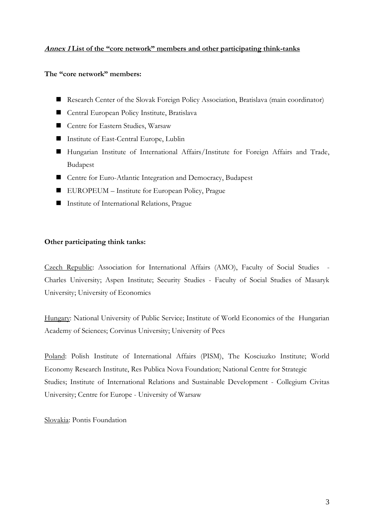### **Annex 1 List of the "core network" members and other participating think-tanks**

### **The "core network" members:**

- Research Center of the Slovak Foreign Policy Association, Bratislava (main coordinator)
- Central European Policy Institute, Bratislava
- Centre for Eastern Studies, Warsaw
- Institute of East-Central Europe, Lublin
- Hungarian Institute of International Affairs/Institute for Foreign Affairs and Trade, Budapest
- Centre for Euro-Atlantic Integration and Democracy, Budapest
- EUROPEUM Institute for European Policy, Prague
- Institute of International Relations, Prague

### **Other participating think tanks:**

Czech Republic: Association for International Affairs (AMO), Faculty of Social Studies - Charles University; Aspen Institute; Security Studies - Faculty of Social Studies of Masaryk University; University of Economics

Hungary: National University of Public Service; Institute of World Economics of the Hungarian Academy of Sciences; Corvinus University; University of Pecs

Poland: Polish Institute of International Affairs (PISM), The Kosciuzko Institute; World Economy Research Institute, Res Publica Nova Foundation; National Centre for Strategic Studies; Institute of International Relations and Sustainable Development - Collegium Civitas University; Centre for Europe - University of Warsaw

Slovakia: Pontis Foundation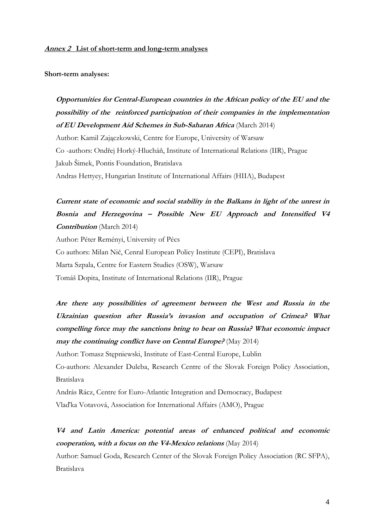#### **Annex 2 List of short-term and long-term analyses**

#### **Short-term analyses:**

**Opportunities for Central-European countries in the African policy of the EU and the possibility of the reinforced participation of their companies in the implementation of EU Development Aid Schemes in Sub-Saharan Africa** (March 2014) Author: Kamil Zajączkowski, Centre for Europe, University of Warsaw Co -authors: Ondřej Horký-Hlucháň, Institute of International Relations (IIR), Prague Jakub Šimek, Pontis Foundation, Bratislava Andras Hettyey, Hungarian Institute of International Affairs (HIIA), Budapest

**Current state of economic and social stability in the Balkans in light of the unrest in Bosnia and Herzegovina – Possible New EU Approach and Intensified V4 Contribution** (March 2014)

Author: Péter Reményi, University of Pécs Co authors: Milan Nič, Cenral European Policy Institute (CEPI), Bratislava Marta Szpala, Centre for Eastern Studies (OSW), Warsaw Tomáš Dopita, Institute of International Relations (IIR), Prague

**Are there any possibilities of agreement between the West and Russia in the Ukrainian question after Russia's invasion and occupation of Crimea? What compelling force may the sanctions bring to bear on Russia? What economic impact may the continuing conflict have on Central Europe?** (May 2014)

Author: Tomasz Stępniewski, Institute of East-Central Europe, Lublin

Co-authors: Alexander Duleba, Research Centre of the Slovak Foreign Policy Association, Bratislava

András Rácz, Centre for Euro-Atlantic Integration and Democracy, Budapest Vlaďka Votavová, Association for International Affairs (AMO), Prague

**V4 and Latin America: potential areas of enhanced political and economic cooperation, with a focus on the V4-Mexico relations** (May 2014)

Author: Samuel Goda, Research Center of the Slovak Foreign Policy Association (RC SFPA), Bratislava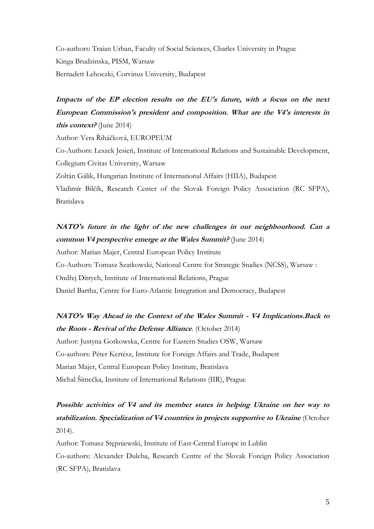Co-authors: Traian Urban, Faculty of Social Sciences, Charles University in Prague Kinga Brudzinska, PISM, Warsaw Bernadett Lehoczki, Corvinus University, Budapest

# **Impacts of the EP election results on the EU's future, with a focus on the next European Commission's president and composition. What are the V4's interests in this context?** (June 2014)

Author: Vera Řiháčková, EUROPEUM

Co-Authors: Leszek Jesień, Institute of International Relations and Sustainable Development, Collegium Civitas University, Warsaw

Zoltán Gálik, Hungarian Institute of International Affairs (HIIA), Budapest

Vladimír Bilčík, Research Center of the Slovak Foreign Policy Association (RC SFPA), Bratislava

# **NATO's future in the light of the new challenges in our neighbourhood. Can a common V4 perspective emerge at the Wales Summit?** (June 2014)

Author: Marian Majer, Central European Policy Institute Co-Authors: Tomasz Szatkowski, National Centre for Strategic Studies (NCSS), Warsaw :

Ondřej Ditrych, Institute of International Relations, Prague

Daniel Bartha, Centre for Euro-Atlantic Integration and Democracy, Budapest

# **NATO's Way Ahead in the Context of the Wales Summit - V4 Implications.Back to the Roots - Revival of the Defense Alliance**. (October 2014)

Author: Justyna Gotkowska, Centre for Eastern Studies OSW, Warsaw Co-authors: Péter Kertész, Institute for Foreign Affairs and Trade, Budapest Marian Majer, Central European Policy Institute, Bratislava Michal Šimečka, Institute of International Relations (IIR), Prague

# **Possible activities of V4 and its member states in helping Ukraine on her way to stabilization. Specialization of V4 countries in projects supportive to Ukraine** (October 2014).

Author: Tomasz Stępniewski, Institute of East-Central Europe in Lublin Co-authors: Alexander Duleba, Research Centre of the Slovak Foreign Policy Association (RC SFPA), Bratislava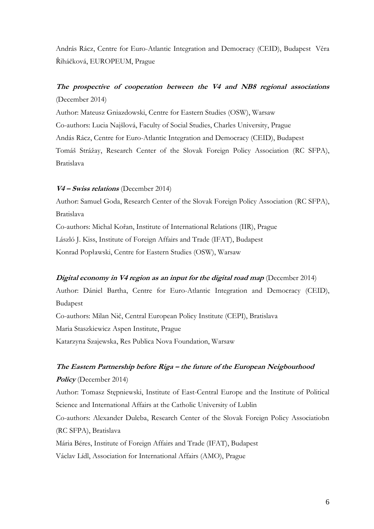András Rácz, Centre for Euro-Atlantic Integration and Democracy (CEID), Budapest Věra Řiháčková, EUROPEUM, Prague

## **The prospective of cooperation between the V4 and NB8 regional associations** (December 2014)

Author: Mateusz Gniazdowski, Centre for Eastern Studies (OSW), Warsaw Co-authors: Lucia Najšlová, Faculty of Social Studies, Charles University, Prague Andás Rácz, Centre for Euro-Atlantic Integration and Democracy (CEID), Budapest Tomáš Strážay, Research Center of the Slovak Foreign Policy Association (RC SFPA), Bratislava

### **V4 – Swiss relations** (December 2014)

Author: Samuel Goda, Research Center of the Slovak Foreign Policy Association (RC SFPA), Bratislava

Co-authors: Michal Kořan, Institute of International Relations (IIR), Prague László J. Kiss, Institute of Foreign Affairs and Trade (IFAT), Budapest Konrad Popławski, Centre for Eastern Studies (OSW), Warsaw

### **Digital economy in V4 region as an input for the digital road map** (December 2014)

Author: Dániel Bartha, Centre for Euro-Atlantic Integration and Democracy (CEID), Budapest Co-authors: Milan Nič, Central European Policy Institute (CEPI), Bratislava

Maria Staszkiewicz Aspen Institute, Prague

Katarzyna Szajewska, Res Publica Nova Foundation, Warsaw

# **The Eastern Partnership before Riga – the future of the European Neigbourhood Policy** (December 2014)

Author: Tomasz Stępniewski, Institute of East-Central Europe and the Institute of Political Science and International Affairs at the Catholic University of Lublin Co-authors: Alexander Duleba, Research Center of the Slovak Foreign Policy Associatiobn

(RC SFPA), Bratislava

Mária Béres, Institute of Foreign Affairs and Trade (IFAT), Budapest

Václav Lídl, Association for International Affairs (AMO), Prague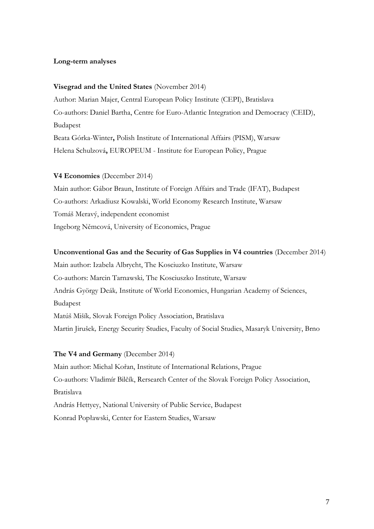### **Long-term analyses**

#### **Visegrad and the United States** (November 2014)

Author: Marian Majer, Central European Policy Institute (CEPI), Bratislava Co-authors: Daniel Bartha, Centre for Euro-Atlantic Integration and Democracy (CEID), Budapest Beata Górka-Winter**,** Polish Institute of International Affairs (PISM), Warsaw Helena Schulzová**,** EUROPEUM - Institute for European Policy, Prague

#### **V4 Economies** (December 2014)

Main author: Gábor Braun, Institute of Foreign Affairs and Trade (IFAT), Budapest Co-authors: Arkadiusz Kowalski, World Economy Research Institute, Warsaw Tomáš Meravý, independent economist Ingeborg Němcová, University of Economics, Prague

#### **Unconventional Gas and the Security of Gas Supplies in V4 countries** (December 2014)

Main author: Izabela Albrycht, The Kosciuzko Institute, Warsaw Co-authors: Marcin Tarnawski*,* The Kosciuszko Institute, Warsaw András György Deák*,* Institute of World Economics, Hungarian Academy of Sciences, Budapest Matúš Mišík*,* Slovak Foreign Policy Association, Bratislava Martin Jirušek*,* Energy Security Studies, Faculty of Social Studies, Masaryk University, Brno

#### **The V4 and Germany** (December 2014)

Main author: Michal Kořan, Institute of International Relations, Prague Co-authors: Vladimír Bilčík, Rersearch Center of the Slovak Foreign Policy Association, Bratislava András Hettyey, National University of Public Service, Budapest Konrad Popławski, Center for Eastern Studies, Warsaw